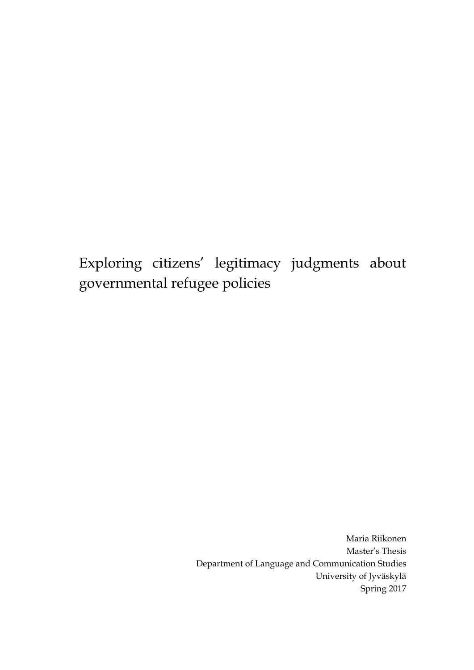Exploring citizens' legitimacy judgments about governmental refugee policies

> Maria Riikonen Master's Thesis Department of Language and Communication Studies University of Jyväskylä Spring 2017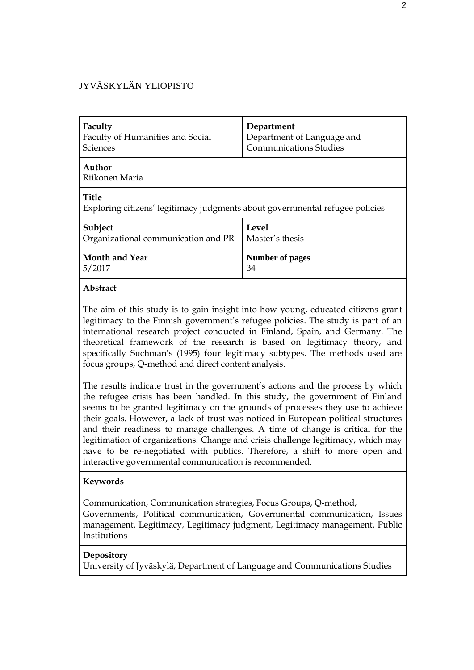#### JYVÄSKYLÄN YLIOPISTO

| Faculty                                                                                      | Department                    |  |
|----------------------------------------------------------------------------------------------|-------------------------------|--|
| Faculty of Humanities and Social                                                             | Department of Language and    |  |
| <b>Sciences</b>                                                                              | <b>Communications Studies</b> |  |
| Author<br>Riikonen Maria                                                                     |                               |  |
| <b>Title</b><br>Exploring citizens' legitimacy judgments about governmental refugee policies |                               |  |
| Subject                                                                                      | Level                         |  |
| Organizational communication and PR                                                          | Master's thesis               |  |
| <b>Month and Year</b>                                                                        | Number of pages               |  |
| 5/2017                                                                                       | 34                            |  |

#### **Abstract**

The aim of this study is to gain insight into how young, educated citizens grant legitimacy to the Finnish government's refugee policies. The study is part of an international research project conducted in Finland, Spain, and Germany. The theoretical framework of the research is based on legitimacy theory, and specifically Suchman's (1995) four legitimacy subtypes. The methods used are focus groups, Q-method and direct content analysis.

The results indicate trust in the government's actions and the process by which the refugee crisis has been handled. In this study, the government of Finland seems to be granted legitimacy on the grounds of processes they use to achieve their goals. However, a lack of trust was noticed in European political structures and their readiness to manage challenges. A time of change is critical for the legitimation of organizations. Change and crisis challenge legitimacy, which may have to be re-negotiated with publics. Therefore, a shift to more open and interactive governmental communication is recommended.

#### **Keywords**

Communication, Communication strategies, Focus Groups, Q-method,

Governments, Political communication, Governmental communication, Issues management, Legitimacy, Legitimacy judgment, Legitimacy management, Public Institutions

#### **Depository**

University of Jyväskylä, Department of Language and Communications Studies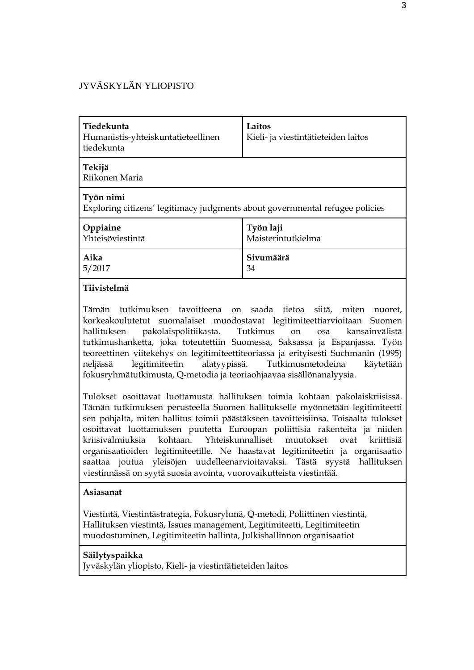#### JYVÄSKYLÄN YLIOPISTO

| Tiedekunta<br>Humanistis-yhteiskuntatieteellinen<br>tiedekunta                            | Laitos<br>Kieli- ja viestintätieteiden laitos |  |
|-------------------------------------------------------------------------------------------|-----------------------------------------------|--|
| Tekijä<br>Riikonen Maria                                                                  |                                               |  |
| Työn nimi<br>Exploring citizens' legitimacy judgments about governmental refugee policies |                                               |  |
| Oppiaine<br>Yhteisöviestintä                                                              | Työn laji<br>Maisterintutkielma               |  |
| Aika<br>5/2017                                                                            | Sivumäärä<br>34                               |  |

#### **Tiivistelmä**

Tämän tutkimuksen tavoitteena on saada tietoa siitä, miten nuoret, korkeakoulutetut suomalaiset muodostavat legitimiteettiarvioitaan Suomen hallituksen pakolaispolitiikasta. Tutkimus on osa kansainvälistä tutkimushanketta, joka toteutettiin Suomessa, Saksassa ja Espanjassa. Työn teoreettinen viitekehys on legitimiteettiteoriassa ja erityisesti Suchmanin (1995) neljässä legitimiteetin alatyypissä. Tutkimusmetodeina käytetään fokusryhmätutkimusta, Q-metodia ja teoriaohjaavaa sisällönanalyysia.

Tulokset osoittavat luottamusta hallituksen toimia kohtaan pakolaiskriisissä. Tämän tutkimuksen perusteella Suomen hallitukselle myönnetään legitimiteetti sen pohjalta, miten hallitus toimii päästäkseen tavoitteisiinsa. Toisaalta tulokset osoittavat luottamuksen puutetta Euroopan poliittisia rakenteita ja niiden kriisivalmiuksia kohtaan. Yhteiskunnalliset muutokset ovat kriittisiä organisaatioiden legitimiteetille. Ne haastavat legitimiteetin ja organisaatio saattaa joutua yleisöjen uudelleenarvioitavaksi. Tästä syystä hallituksen viestinnässä on syytä suosia avointa, vuorovaikutteista viestintää.

#### **Asiasanat**

Viestintä, Viestintästrategia, Fokusryhmä, Q-metodi, Poliittinen viestintä, Hallituksen viestintä, Issues management, Legitimiteetti, Legitimiteetin muodostuminen, Legitimiteetin hallinta, Julkishallinnon organisaatiot

#### **Säilytyspaikka**

Jyväskylän yliopisto, Kieli- ja viestintätieteiden laitos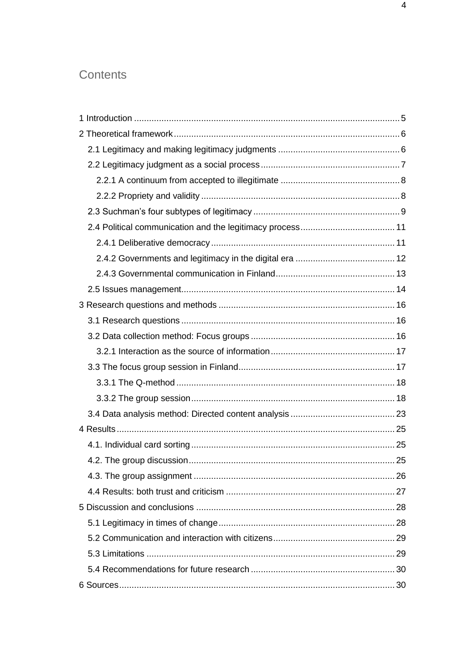## Contents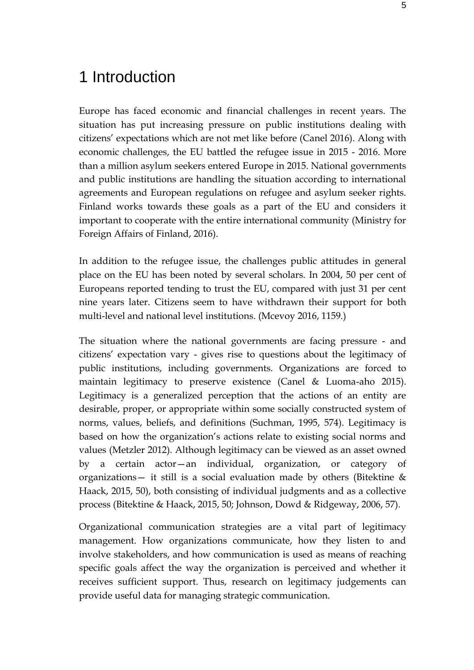## <span id="page-4-0"></span>1 Introduction

Europe has faced economic and financial challenges in recent years. The situation has put increasing pressure on public institutions dealing with citizens' expectations which are not met like before (Canel 2016). Along with economic challenges, the EU battled the refugee issue in 2015 - 2016. More than a million asylum seekers entered Europe in 2015. National governments and public institutions are handling the situation according to international agreements and European regulations on refugee and asylum seeker rights. Finland works towards these goals as a part of the EU and considers it important to cooperate with the entire international community (Ministry for Foreign Affairs of Finland, 2016).

In addition to the refugee issue, the challenges public attitudes in general place on the EU has been noted by several scholars. In 2004, 50 per cent of Europeans reported tending to trust the EU, compared with just 31 per cent nine years later. Citizens seem to have withdrawn their support for both multi-level and national level institutions. (Mcevoy 2016, 1159.)

The situation where the national governments are facing pressure - and citizens' expectation vary - gives rise to questions about the legitimacy of public institutions, including governments. Organizations are forced to maintain legitimacy to preserve existence (Canel & Luoma-aho 2015). Legitimacy is a generalized perception that the actions of an entity are desirable, proper, or appropriate within some socially constructed system of norms, values, beliefs, and definitions (Suchman, 1995, 574). Legitimacy is based on how the organization's actions relate to existing social norms and values (Metzler 2012). Although legitimacy can be viewed as an asset owned by a certain  $actor-an$  individual, organization, or category organizations— it still is a social evaluation made by others (Bitektine  $\&$ Haack, 2015, 50), both consisting of individual judgments and as a collective process (Bitektine & Haack, 2015, 50; Johnson, Dowd & Ridgeway, 2006, 57).

Organizational communication strategies are a vital part of legitimacy management. How organizations communicate, how they listen to and involve stakeholders, and how communication is used as means of reaching specific goals affect the way the organization is perceived and whether it receives sufficient support. Thus, research on legitimacy judgements can provide useful data for managing strategic communication.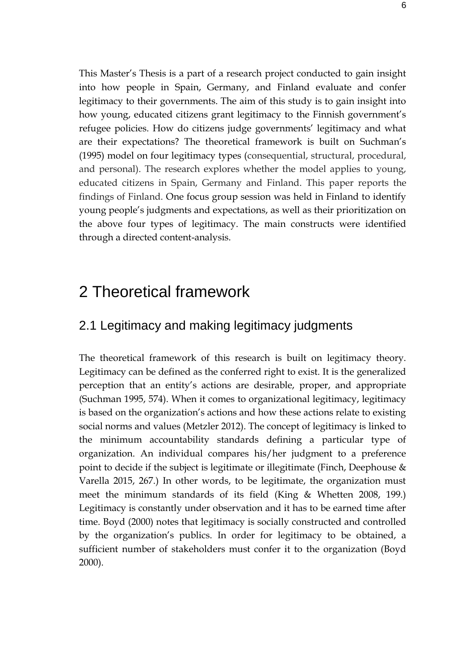This Master's Thesis is a part of a research project conducted to gain insight into how people in Spain, Germany, and Finland evaluate and confer legitimacy to their governments. The aim of this study is to gain insight into how young, educated citizens grant legitimacy to the Finnish government's refugee policies. How do citizens judge governments' legitimacy and what are their expectations? The theoretical framework is built on Suchman's (1995) model on four legitimacy types (consequential, structural, procedural, and personal). The research explores whether the model applies to young, educated citizens in Spain, Germany and Finland. This paper reports the findings of Finland. One focus group session was held in Finland to identify young people's judgments and expectations, as well as their prioritization on the above four types of legitimacy. The main constructs were identified through a directed content-analysis.

## <span id="page-5-0"></span>2 Theoretical framework

### <span id="page-5-1"></span>2.1 Legitimacy and making legitimacy judgments

The theoretical framework of this research is built on legitimacy theory. Legitimacy can be defined as the conferred right to exist. It is the generalized perception that an entity's actions are desirable, proper, and appropriate (Suchman 1995, 574). When it comes to organizational legitimacy, legitimacy is based on the organization's actions and how these actions relate to existing social norms and values (Metzler 2012). The concept of legitimacy is linked to the minimum accountability standards defining a particular type of organization. An individual compares his/her judgment to a preference point to decide if the subject is legitimate or illegitimate (Finch, Deephouse & Varella 2015, 267.) In other words, to be legitimate, the organization must meet the minimum standards of its field (King & Whetten 2008, 199.) Legitimacy is constantly under observation and it has to be earned time after time. Boyd (2000) notes that legitimacy is socially constructed and controlled by the organization's publics. In order for legitimacy to be obtained, a sufficient number of stakeholders must confer it to the organization (Boyd 2000).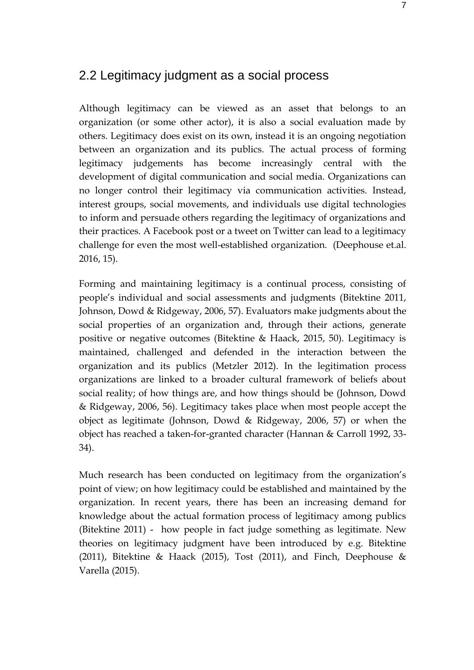## <span id="page-6-0"></span>2.2 Legitimacy judgment as a social process

Although legitimacy can be viewed as an asset that belongs to an organization (or some other actor), it is also a social evaluation made by others. Legitimacy does exist on its own, instead it is an ongoing negotiation between an organization and its publics. The actual process of forming legitimacy judgements has become increasingly central with the development of digital communication and social media. Organizations can no longer control their legitimacy via communication activities. Instead, interest groups, social movements, and individuals use digital technologies to inform and persuade others regarding the legitimacy of organizations and their practices. A Facebook post or a tweet on Twitter can lead to a legitimacy challenge for even the most well-established organization. (Deephouse et.al. 2016, 15).

Forming and maintaining legitimacy is a continual process, consisting of people's individual and social assessments and judgments (Bitektine 2011, Johnson, Dowd & Ridgeway, 2006, 57). Evaluators make judgments about the social properties of an organization and, through their actions, generate positive or negative outcomes (Bitektine & Haack, 2015, 50). Legitimacy is maintained, challenged and defended in the interaction between the organization and its publics (Metzler 2012). In the legitimation process organizations are linked to a broader cultural framework of beliefs about social reality; of how things are, and how things should be (Johnson, Dowd & Ridgeway, 2006, 56). Legitimacy takes place when most people accept the object as legitimate (Johnson, Dowd & Ridgeway, 2006, 57) or when the object has reached a taken-for-granted character (Hannan & Carroll 1992, 33- 34).

Much research has been conducted on legitimacy from the organization's point of view; on how legitimacy could be established and maintained by the organization. In recent years, there has been an increasing demand for knowledge about the actual formation process of legitimacy among publics (Bitektine 2011) - how people in fact judge something as legitimate. New theories on legitimacy judgment have been introduced by e.g. Bitektine (2011), Bitektine & Haack (2015), Tost (2011), and Finch, Deephouse & Varella (2015).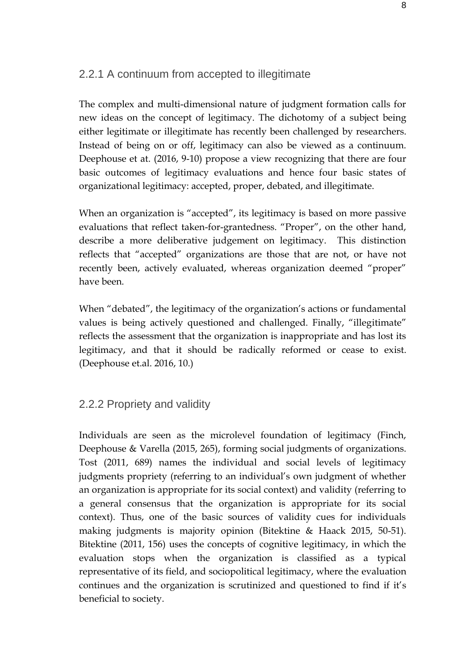#### <span id="page-7-0"></span>2.2.1 A continuum from accepted to illegitimate

The complex and multi-dimensional nature of judgment formation calls for new ideas on the concept of legitimacy. The dichotomy of a subject being either legitimate or illegitimate has recently been challenged by researchers. Instead of being on or off, legitimacy can also be viewed as a continuum. Deephouse et at. (2016, 9-10) propose a view recognizing that there are four basic outcomes of legitimacy evaluations and hence four basic states of organizational legitimacy: accepted, proper, debated, and illegitimate.

When an organization is "accepted", its legitimacy is based on more passive evaluations that reflect taken-for-grantedness. "Proper", on the other hand, describe a more deliberative judgement on legitimacy. This distinction reflects that "accepted" organizations are those that are not, or have not recently been, actively evaluated, whereas organization deemed "proper" have been.

When "debated", the legitimacy of the organization's actions or fundamental values is being actively questioned and challenged. Finally, "illegitimate" reflects the assessment that the organization is inappropriate and has lost its legitimacy, and that it should be radically reformed or cease to exist. (Deephouse et.al. 2016, 10.)

#### <span id="page-7-1"></span>2.2.2 Propriety and validity

Individuals are seen as the microlevel foundation of legitimacy (Finch, Deephouse & Varella (2015, 265), forming social judgments of organizations. Tost (2011, 689) names the individual and social levels of legitimacy judgments propriety (referring to an individual's own judgment of whether an organization is appropriate for its social context) and validity (referring to a general consensus that the organization is appropriate for its social context). Thus, one of the basic sources of validity cues for individuals making judgments is majority opinion (Bitektine & Haack 2015, 50-51). Bitektine (2011, 156) uses the concepts of cognitive legitimacy, in which the evaluation stops when the organization is classified as a typical representative of its field, and sociopolitical legitimacy, where the evaluation continues and the organization is scrutinized and questioned to find if it's beneficial to society.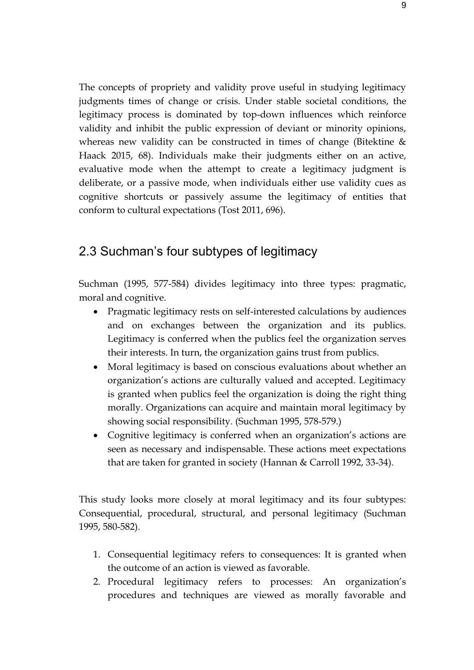The concepts of propriety and validity prove useful in studying legitimacy judgments times of change or crisis. Under stable societal conditions, the legitimacy process is dominated by top-down influences which reinforce validity and inhibit the public expression of deviant or minority opinions, whereas new validity can be constructed in times of change (Bitektine & Haack 2015, 68). Individuals make their judgments either on an active, evaluative mode when the attempt to create a legitimacy judgment is deliberate, or a passive mode, when individuals either use validity cues as cognitive shortcuts or passively assume the legitimacy of entities that conform to cultural expectations (Tost 2011, 696).

## <span id="page-8-0"></span>2.3 Suchman's four subtypes of legitimacy

Suchman (1995, 577-584) divides legitimacy into three types: pragmatic, moral and cognitive.

- Pragmatic legitimacy rests on self-interested calculations by audiences and on exchanges between the organization and its publics. Legitimacy is conferred when the publics feel the organization serves their interests. In turn, the organization gains trust from publics.
- Moral legitimacy is based on conscious evaluations about whether an organization's actions are culturally valued and accepted. Legitimacy is granted when publics feel the organization is doing the right thing morally. Organizations can acquire and maintain moral legitimacy by showing social responsibility. (Suchman 1995, 578-579.)
- Cognitive legitimacy is conferred when an organization's actions are seen as necessary and indispensable. These actions meet expectations that are taken for granted in society (Hannan & Carroll 1992, 33-34).

This study looks more closely at moral legitimacy and its four subtypes: Consequential, procedural, structural, and personal legitimacy (Suchman 1995, 580-582).

- 1. Consequential legitimacy refers to consequences: It is granted when the outcome of an action is viewed as favorable.
- 2. Procedural legitimacy refers to processes: An organization's procedures and techniques are viewed as morally favorable and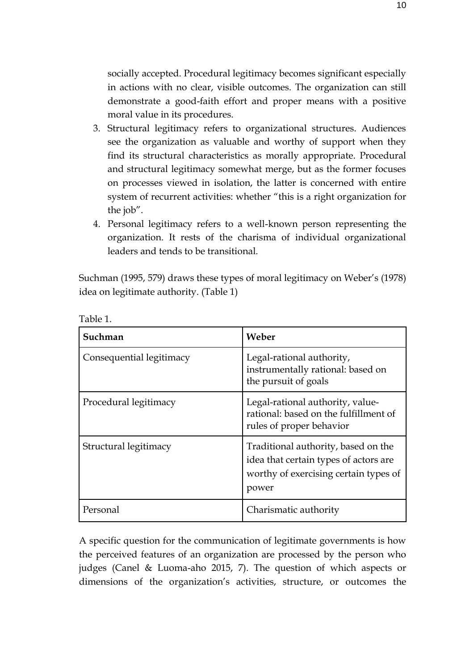socially accepted. Procedural legitimacy becomes significant especially in actions with no clear, visible outcomes. The organization can still demonstrate a good-faith effort and proper means with a positive moral value in its procedures.

- 3. Structural legitimacy refers to organizational structures. Audiences see the organization as valuable and worthy of support when they find its structural characteristics as morally appropriate. Procedural and structural legitimacy somewhat merge, but as the former focuses on processes viewed in isolation, the latter is concerned with entire system of recurrent activities: whether "this is a right organization for the job".
- 4. Personal legitimacy refers to a well-known person representing the organization. It rests of the charisma of individual organizational leaders and tends to be transitional.

Suchman (1995, 579) draws these types of moral legitimacy on Weber's (1978) idea on legitimate authority. (Table 1)

| Suchman                  | Weber                                                                                                                          |
|--------------------------|--------------------------------------------------------------------------------------------------------------------------------|
| Consequential legitimacy | Legal-rational authority,<br>instrumentally rational: based on<br>the pursuit of goals                                         |
| Procedural legitimacy    | Legal-rational authority, value-<br>rational: based on the fulfillment of<br>rules of proper behavior                          |
| Structural legitimacy    | Traditional authority, based on the<br>idea that certain types of actors are<br>worthy of exercising certain types of<br>power |
| Personal                 | Charismatic authority                                                                                                          |

Table 1.

A specific question for the communication of legitimate governments is how the perceived features of an organization are processed by the person who judges (Canel & Luoma-aho 2015, 7). The question of which aspects or dimensions of the organization's activities, structure, or outcomes the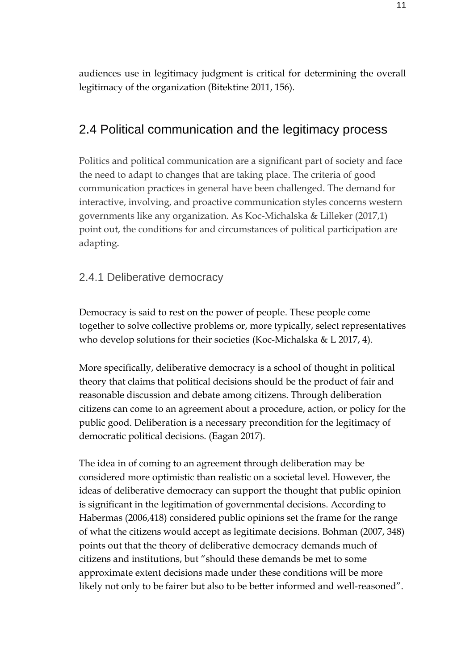audiences use in legitimacy judgment is critical for determining the overall legitimacy of the organization (Bitektine 2011, 156).

## <span id="page-10-0"></span>2.4 Political communication and the legitimacy process

Politics and political communication are a significant part of society and face the need to adapt to changes that are taking place. The criteria of good communication practices in general have been challenged. The demand for interactive, involving, and proactive communication styles concerns western governments like any organization. As Koc-Michalska & Lilleker (2017,1) point out, the conditions for and circumstances of political participation are adapting.

#### <span id="page-10-1"></span>2.4.1 Deliberative democracy

Democracy is said to rest on the power of people. These people come together to solve collective problems or, more typically, select representatives who develop solutions for their societies (Koc-Michalska & L 2017, 4).

More specifically, deliberative democracy is a school of thought in political theory that claims that political decisions should be the product of fair and reasonable discussion and debate among citizens. Through deliberation citizens can come to an agreement about a procedure, action, or policy for the public good. Deliberation is a necessary precondition for the legitimacy of democratic political decisions. (Eagan 2017).

The idea in of coming to an agreement through deliberation may be considered more optimistic than realistic on a societal level. However, the ideas of deliberative democracy can support the thought that public opinion is significant in the legitimation of governmental decisions. According to Habermas (2006,418) considered public opinions set the frame for the range of what the citizens would accept as legitimate decisions. Bohman (2007, 348) points out that the theory of deliberative democracy demands much of citizens and institutions, but "should these demands be met to some approximate extent decisions made under these conditions will be more likely not only to be fairer but also to be better informed and well-reasoned".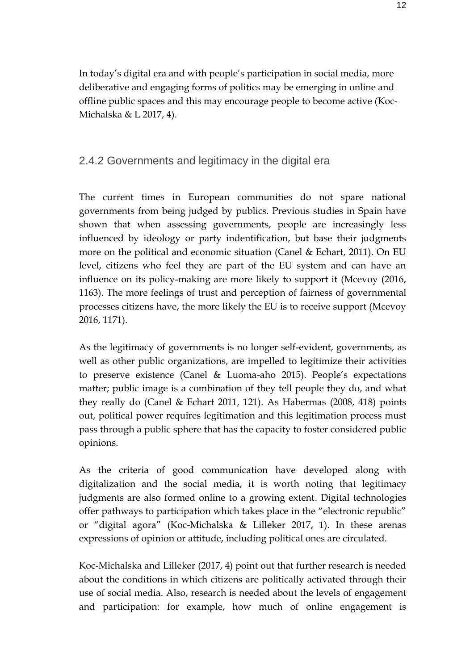In today's digital era and with people's participation in social media, more deliberative and engaging forms of politics may be emerging in online and offline public spaces and this may encourage people to become active (Koc-Michalska & L 2017, 4).

#### <span id="page-11-0"></span>2.4.2 Governments and legitimacy in the digital era

The current times in European communities do not spare national governments from being judged by publics. Previous studies in Spain have shown that when assessing governments, people are increasingly less influenced by ideology or party indentification, but base their judgments more on the political and economic situation (Canel & Echart, 2011). On EU level, citizens who feel they are part of the EU system and can have an influence on its policy-making are more likely to support it (Mcevoy (2016, 1163). The more feelings of trust and perception of fairness of governmental processes citizens have, the more likely the EU is to receive support (Mcevoy 2016, 1171).

As the legitimacy of governments is no longer self-evident, governments, as well as other public organizations, are impelled to legitimize their activities to preserve existence (Canel & Luoma-aho 2015). People's expectations matter; public image is a combination of they tell people they do, and what they really do (Canel & Echart 2011, 121). As Habermas (2008, 418) points out, political power requires legitimation and this legitimation process must pass through a public sphere that has the capacity to foster considered public opinions.

As the criteria of good communication have developed along with digitalization and the social media, it is worth noting that legitimacy judgments are also formed online to a growing extent. Digital technologies offer pathways to participation which takes place in the "electronic republic" or "digital agora" (Koc-Michalska & Lilleker 2017, 1). In these arenas expressions of opinion or attitude, including political ones are circulated.

Koc-Michalska and Lilleker (2017, 4) point out that further research is needed about the conditions in which citizens are politically activated through their use of social media. Also, research is needed about the levels of engagement and participation: for example, how much of online engagement is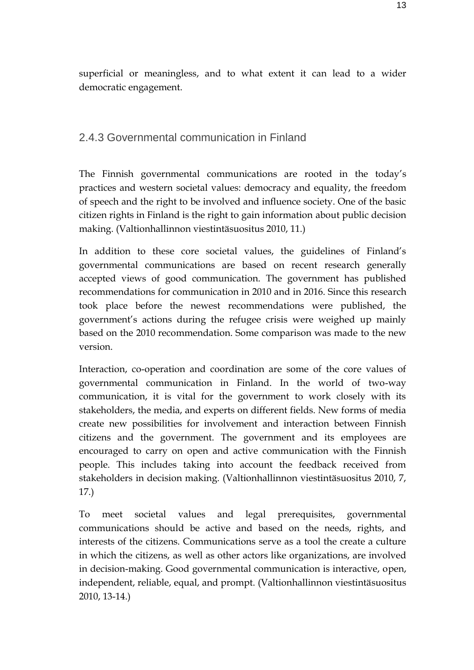superficial or meaningless, and to what extent it can lead to a wider democratic engagement.

### <span id="page-12-0"></span>2.4.3 Governmental communication in Finland

The Finnish governmental communications are rooted in the today's practices and western societal values: democracy and equality, the freedom of speech and the right to be involved and influence society. One of the basic citizen rights in Finland is the right to gain information about public decision making. (Valtionhallinnon viestintäsuositus 2010, 11.)

In addition to these core societal values, the guidelines of Finland's governmental communications are based on recent research generally accepted views of good communication. The government has published recommendations for communication in 2010 and in 2016. Since this research took place before the newest recommendations were published, the government's actions during the refugee crisis were weighed up mainly based on the 2010 recommendation. Some comparison was made to the new version.

Interaction, co-operation and coordination are some of the core values of governmental communication in Finland. In the world of two-way communication, it is vital for the government to work closely with its stakeholders, the media, and experts on different fields. New forms of media create new possibilities for involvement and interaction between Finnish citizens and the government. The government and its employees are encouraged to carry on open and active communication with the Finnish people. This includes taking into account the feedback received from stakeholders in decision making. (Valtionhallinnon viestintäsuositus 2010, 7, 17.)

To meet societal values and legal prerequisites, governmental communications should be active and based on the needs, rights, and interests of the citizens. Communications serve as a tool the create a culture in which the citizens, as well as other actors like organizations, are involved in decision-making. Good governmental communication is interactive, open, independent, reliable, equal, and prompt. (Valtionhallinnon viestintäsuositus 2010, 13-14.)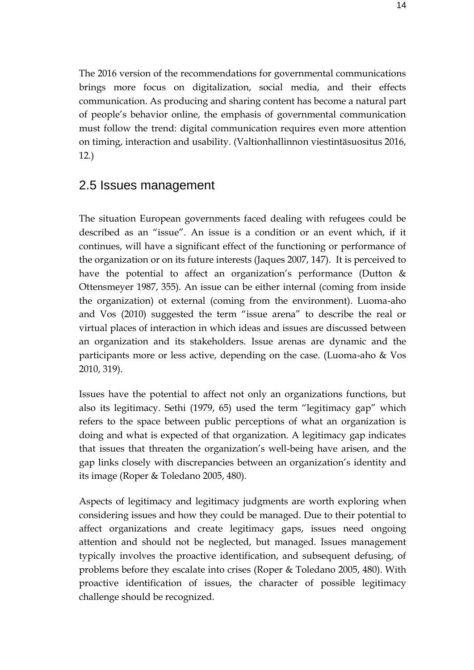The 2016 version of the recommendations for governmental communications brings more focus on digitalization, social media, and their effects communication. As producing and sharing content has become a natural part of people's behavior online, the emphasis of governmental communication must follow the trend: digital communication requires even more attention on timing, interaction and usability. (Valtionhallinnon viestintäsuositus 2016, 12.)

## <span id="page-13-0"></span>2.5 Issues management

The situation European governments faced dealing with refugees could be described as an "issue". An issue is a condition or an event which, if it continues, will have a significant effect of the functioning or performance of the organization or on its future interests (Jaques 2007, 147). It is perceived to have the potential to affect an organization's performance (Dutton  $\&$ Ottensmeyer 1987, 355). An issue can be either internal (coming from inside the organization) ot external (coming from the environment). Luoma-aho and Vos (2010) suggested the term "issue arena" to describe the real or virtual places of interaction in which ideas and issues are discussed between an organization and its stakeholders. Issue arenas are dynamic and the participants more or less active, depending on the case. (Luoma-aho & Vos 2010, 319).

Issues have the potential to affect not only an organizations functions, but also its legitimacy. Sethi (1979, 65) used the term "legitimacy gap" which refers to the space between public perceptions of what an organization is doing and what is expected of that organization. A legitimacy gap indicates that issues that threaten the organization's well-being have arisen, and the gap links closely with discrepancies between an organization's identity and its image (Roper & Toledano 2005, 480).

Aspects of legitimacy and legitimacy judgments are worth exploring when considering issues and how they could be managed. Due to their potential to affect organizations and create legitimacy gaps, issues need ongoing attention and should not be neglected, but managed. Issues management typically involves the proactive identification, and subsequent defusing, of problems before they escalate into crises (Roper & Toledano 2005, 480). With proactive identification of issues, the character of possible legitimacy challenge should be recognized.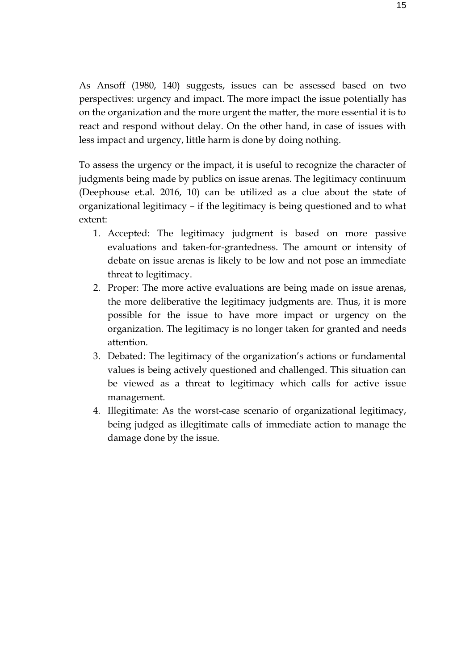As Ansoff (1980, 140) suggests, issues can be assessed based on two perspectives: urgency and impact. The more impact the issue potentially has on the organization and the more urgent the matter, the more essential it is to react and respond without delay. On the other hand, in case of issues with less impact and urgency, little harm is done by doing nothing.

To assess the urgency or the impact, it is useful to recognize the character of judgments being made by publics on issue arenas. The legitimacy continuum (Deephouse et.al. 2016, 10) can be utilized as a clue about the state of organizational legitimacy – if the legitimacy is being questioned and to what extent:

- 1. Accepted: The legitimacy judgment is based on more passive evaluations and taken-for-grantedness. The amount or intensity of debate on issue arenas is likely to be low and not pose an immediate threat to legitimacy.
- 2. Proper: The more active evaluations are being made on issue arenas, the more deliberative the legitimacy judgments are. Thus, it is more possible for the issue to have more impact or urgency on the organization. The legitimacy is no longer taken for granted and needs attention.
- 3. Debated: The legitimacy of the organization's actions or fundamental values is being actively questioned and challenged. This situation can be viewed as a threat to legitimacy which calls for active issue management.
- 4. Illegitimate: As the worst-case scenario of organizational legitimacy, being judged as illegitimate calls of immediate action to manage the damage done by the issue.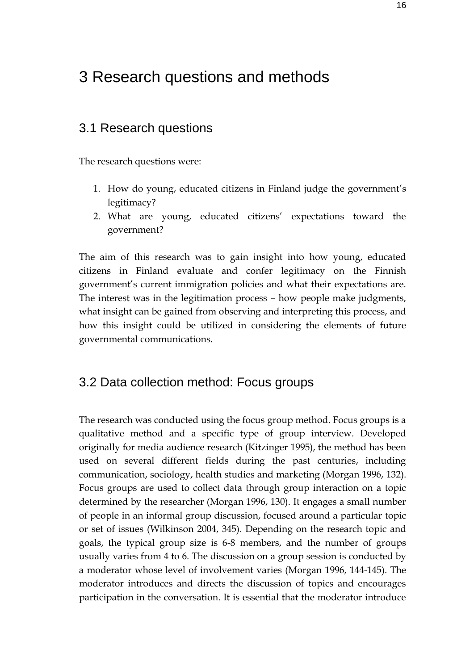# <span id="page-15-0"></span>3 Research questions and methods

### <span id="page-15-1"></span>3.1 Research questions

The research questions were:

- 1. How do young, educated citizens in Finland judge the government's legitimacy?
- 2. What are young, educated citizens' expectations toward the government?

The aim of this research was to gain insight into how young, educated citizens in Finland evaluate and confer legitimacy on the Finnish government's current immigration policies and what their expectations are. The interest was in the legitimation process – how people make judgments, what insight can be gained from observing and interpreting this process, and how this insight could be utilized in considering the elements of future governmental communications.

## <span id="page-15-2"></span>3.2 Data collection method: Focus groups

The research was conducted using the focus group method. Focus groups is a qualitative method and a specific type of group interview. Developed originally for media audience research (Kitzinger 1995), the method has been used on several different fields during the past centuries, including communication, sociology, health studies and marketing (Morgan 1996, 132). Focus groups are used to collect data through group interaction on a topic determined by the researcher (Morgan 1996, 130). It engages a small number of people in an informal group discussion, focused around a particular topic or set of issues (Wilkinson 2004, 345). Depending on the research topic and goals, the typical group size is 6-8 members, and the number of groups usually varies from 4 to 6. The discussion on a group session is conducted by a moderator whose level of involvement varies (Morgan 1996, 144-145). The moderator introduces and directs the discussion of topics and encourages participation in the conversation. It is essential that the moderator introduce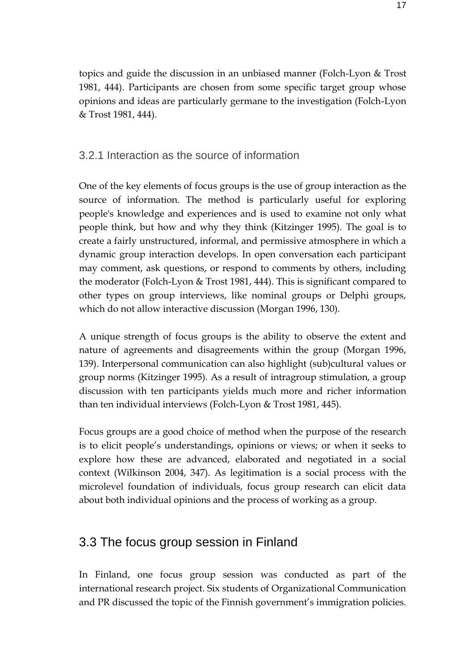topics and guide the discussion in an unbiased manner (Folch-Lyon & Trost 1981, 444). Participants are chosen from some specific target group whose opinions and ideas are particularly germane to the investigation (Folch-Lyon & Trost 1981, 444).

#### <span id="page-16-0"></span>3.2.1 Interaction as the source of information

One of the key elements of focus groups is the use of group interaction as the source of information. The method is particularly useful for exploring people's knowledge and experiences and is used to examine not only what people think, but how and why they think (Kitzinger 1995). The goal is to create a fairly unstructured, informal, and permissive atmosphere in which a dynamic group interaction develops. In open conversation each participant may comment, ask questions, or respond to comments by others, including the moderator (Folch-Lyon & Trost 1981, 444). This is significant compared to other types on group interviews, like nominal groups or Delphi groups, which do not allow interactive discussion (Morgan 1996, 130).

A unique strength of focus groups is the ability to observe the extent and nature of agreements and disagreements within the group (Morgan 1996, 139). Interpersonal communication can also highlight (sub)cultural values or group norms (Kitzinger 1995). As a result of intragroup stimulation, a group discussion with ten participants yields much more and richer information than ten individual interviews (Folch-Lyon & Trost 1981, 445).

Focus groups are a good choice of method when the purpose of the research is to elicit people's understandings, opinions or views; or when it seeks to explore how these are advanced, elaborated and negotiated in a social context (Wilkinson 2004, 347). As legitimation is a social process with the microlevel foundation of individuals, focus group research can elicit data about both individual opinions and the process of working as a group.

## <span id="page-16-1"></span>3.3 The focus group session in Finland

In Finland, one focus group session was conducted as part of the international research project. Six students of Organizational Communication and PR discussed the topic of the Finnish government's immigration policies.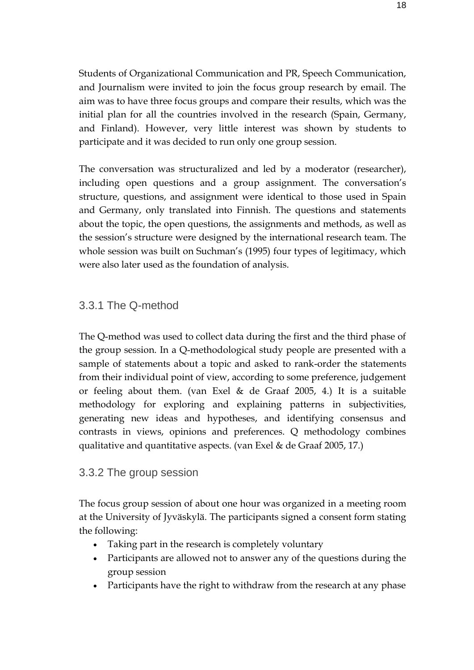Students of Organizational Communication and PR, Speech Communication, and Journalism were invited to join the focus group research by email. The aim was to have three focus groups and compare their results, which was the initial plan for all the countries involved in the research (Spain, Germany, and Finland). However, very little interest was shown by students to participate and it was decided to run only one group session.

The conversation was structuralized and led by a moderator (researcher), including open questions and a group assignment. The conversation's structure, questions, and assignment were identical to those used in Spain and Germany, only translated into Finnish. The questions and statements about the topic, the open questions, the assignments and methods, as well as the session's structure were designed by the international research team. The whole session was built on Suchman's (1995) four types of legitimacy, which were also later used as the foundation of analysis.

#### <span id="page-17-0"></span>3.3.1 The Q-method

The Q-method was used to collect data during the first and the third phase of the group session. In a Q-methodological study people are presented with a sample of statements about a topic and asked to rank-order the statements from their individual point of view, according to some preference, judgement or feeling about them. (van Exel & de Graaf 2005, 4.) It is a suitable methodology for exploring and explaining patterns in subjectivities, generating new ideas and hypotheses, and identifying consensus and contrasts in views, opinions and preferences. Q methodology combines qualitative and quantitative aspects. (van Exel & de Graaf 2005, 17.)

#### <span id="page-17-1"></span>3.3.2 The group session

The focus group session of about one hour was organized in a meeting room at the University of Jyväskylä. The participants signed a consent form stating the following:

- Taking part in the research is completely voluntary
- Participants are allowed not to answer any of the questions during the group session
- Participants have the right to withdraw from the research at any phase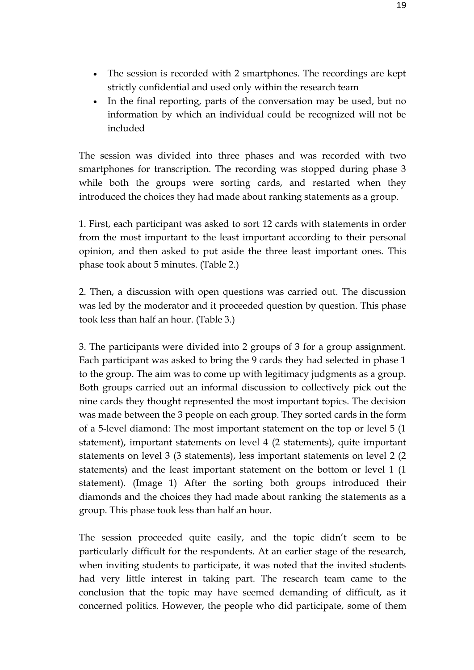- The session is recorded with 2 smartphones. The recordings are kept strictly confidential and used only within the research team
- In the final reporting, parts of the conversation may be used, but no information by which an individual could be recognized will not be included

The session was divided into three phases and was recorded with two smartphones for transcription. The recording was stopped during phase 3 while both the groups were sorting cards, and restarted when they introduced the choices they had made about ranking statements as a group.

1. First, each participant was asked to sort 12 cards with statements in order from the most important to the least important according to their personal opinion, and then asked to put aside the three least important ones. This phase took about 5 minutes. (Table 2.)

2. Then, a discussion with open questions was carried out. The discussion was led by the moderator and it proceeded question by question. This phase took less than half an hour. (Table 3.)

3. The participants were divided into 2 groups of 3 for a group assignment. Each participant was asked to bring the 9 cards they had selected in phase 1 to the group. The aim was to come up with legitimacy judgments as a group. Both groups carried out an informal discussion to collectively pick out the nine cards they thought represented the most important topics. The decision was made between the 3 people on each group. They sorted cards in the form of a 5-level diamond: The most important statement on the top or level 5 (1 statement), important statements on level 4 (2 statements), quite important statements on level 3 (3 statements), less important statements on level 2 (2 statements) and the least important statement on the bottom or level 1 (1 statement). (Image 1) After the sorting both groups introduced their diamonds and the choices they had made about ranking the statements as a group. This phase took less than half an hour.

The session proceeded quite easily, and the topic didn't seem to be particularly difficult for the respondents. At an earlier stage of the research, when inviting students to participate, it was noted that the invited students had very little interest in taking part. The research team came to the conclusion that the topic may have seemed demanding of difficult, as it concerned politics. However, the people who did participate, some of them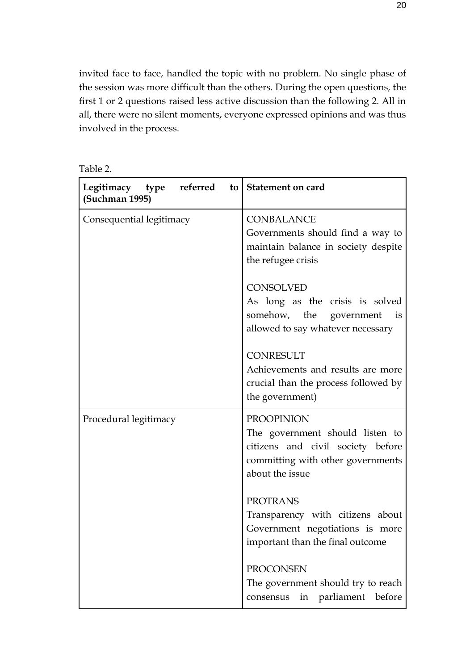invited face to face, handled the topic with no problem. No single phase of the session was more difficult than the others. During the open questions, the first 1 or 2 questions raised less active discussion than the following 2. All in all, there were no silent moments, everyone expressed opinions and was thus involved in the process.

| abie |
|------|
|------|

| Legitimacy type referred<br>(Suchman 1995) | to   Statement on card                                                                                                                            |
|--------------------------------------------|---------------------------------------------------------------------------------------------------------------------------------------------------|
| Consequential legitimacy                   | <b>CONBALANCE</b><br>Governments should find a way to<br>maintain balance in society despite<br>the refugee crisis                                |
|                                            | <b>CONSOLVED</b><br>As long as the crisis is solved<br>somehow, the government<br>is<br>allowed to say whatever necessary                         |
|                                            | <b>CONRESULT</b><br>Achievements and results are more<br>crucial than the process followed by<br>the government)                                  |
| Procedural legitimacy                      | <b>PROOPINION</b><br>The government should listen to<br>citizens and civil society before<br>committing with other governments<br>about the issue |
|                                            | <b>PROTRANS</b><br>Transparency with citizens about<br>Government negotiations is more<br>important than the final outcome                        |
|                                            | <b>PROCONSEN</b><br>The government should try to reach<br>parliament<br>before<br>consensus<br>in                                                 |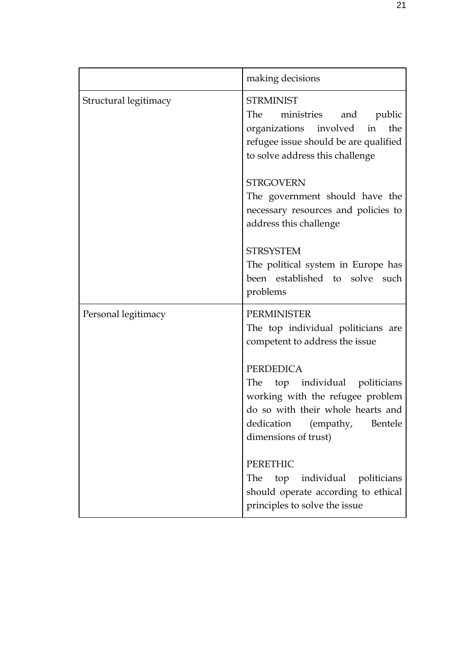|                       | making decisions                                                                                                                                                                    |
|-----------------------|-------------------------------------------------------------------------------------------------------------------------------------------------------------------------------------|
| Structural legitimacy | <b>STRMINIST</b><br>The<br>ministries<br>and public<br>organizations involved in the<br>refugee issue should be are qualified<br>to solve address this challenge                    |
|                       | <b>STRGOVERN</b><br>The government should have the<br>necessary resources and policies to<br>address this challenge                                                                 |
|                       | <b>STRSYSTEM</b><br>The political system in Europe has<br>been established to solve such<br>problems                                                                                |
| Personal legitimacy   | <b>PERMINISTER</b><br>The top individual politicians are<br>competent to address the issue                                                                                          |
|                       | <b>PERDEDICA</b><br>The top individual politicians<br>working with the refugee problem<br>do so with their whole hearts and<br>dedication (empathy, Bentele<br>dimensions of trust) |
|                       | <b>PERETHIC</b><br>individual politicians<br>The<br>top<br>should operate according to ethical<br>principles to solve the issue                                                     |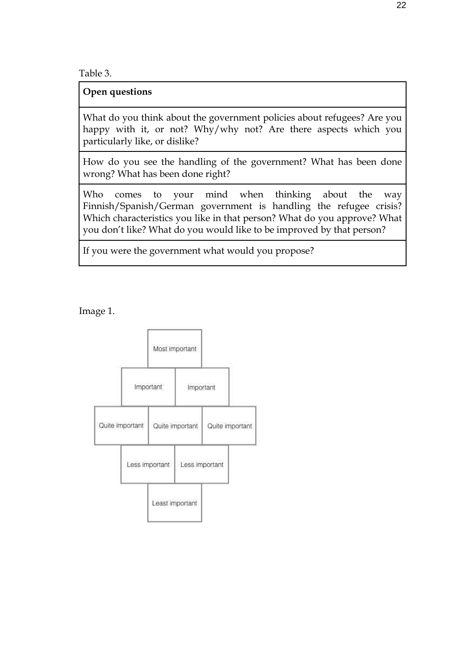Table 3.

**Open questions**

What do you think about the government policies about refugees? Are you happy with it, or not? Why/why not? Are there aspects which you particularly like, or dislike?

How do you see the handling of the government? What has been done wrong? What has been done right?

Who comes to your mind when thinking about the way Finnish/Spanish/German government is handling the refugee crisis? Which characteristics you like in that person? What do you approve? What you don't like? What do you would like to be improved by that person?

If you were the government what would you propose?

Image 1.

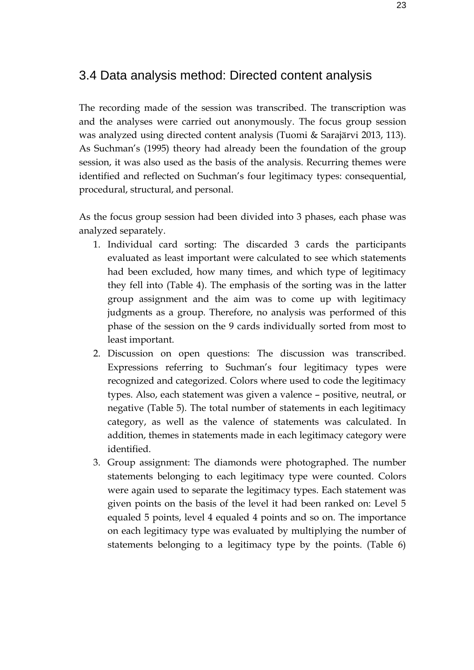## <span id="page-22-0"></span>3.4 Data analysis method: Directed content analysis

The recording made of the session was transcribed. The transcription was and the analyses were carried out anonymously. The focus group session was analyzed using directed content analysis (Tuomi & Sarajärvi 2013, 113). As Suchman's (1995) theory had already been the foundation of the group session, it was also used as the basis of the analysis. Recurring themes were identified and reflected on Suchman's four legitimacy types: consequential, procedural, structural, and personal.

As the focus group session had been divided into 3 phases, each phase was analyzed separately.

- 1. Individual card sorting: The discarded 3 cards the participants evaluated as least important were calculated to see which statements had been excluded, how many times, and which type of legitimacy they fell into (Table 4). The emphasis of the sorting was in the latter group assignment and the aim was to come up with legitimacy judgments as a group. Therefore, no analysis was performed of this phase of the session on the 9 cards individually sorted from most to least important.
- 2. Discussion on open questions: The discussion was transcribed. Expressions referring to Suchman's four legitimacy types were recognized and categorized. Colors where used to code the legitimacy types. Also, each statement was given a valence – positive, neutral, or negative (Table 5). The total number of statements in each legitimacy category, as well as the valence of statements was calculated. In addition, themes in statements made in each legitimacy category were identified.
- 3. Group assignment: The diamonds were photographed. The number statements belonging to each legitimacy type were counted. Colors were again used to separate the legitimacy types. Each statement was given points on the basis of the level it had been ranked on: Level 5 equaled 5 points, level 4 equaled 4 points and so on. The importance on each legitimacy type was evaluated by multiplying the number of statements belonging to a legitimacy type by the points. (Table 6)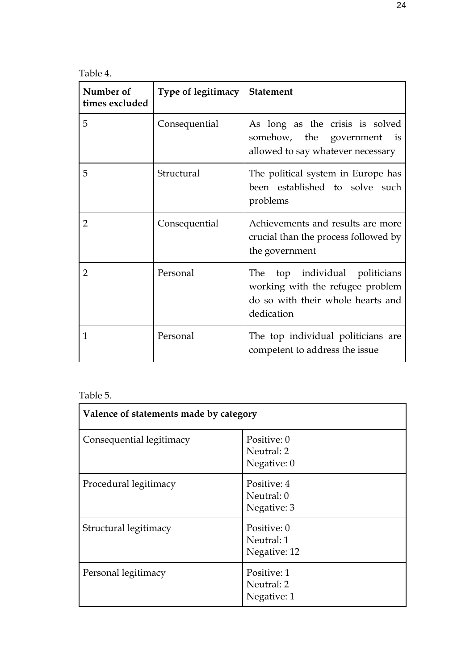Table 4.

| Number of<br>times excluded | <b>Type of legitimacy</b> | <b>Statement</b>                                                                                                         |
|-----------------------------|---------------------------|--------------------------------------------------------------------------------------------------------------------------|
| 5                           | Consequential             | As long as the crisis is solved<br>somehow, the government<br>$\frac{1}{1}$<br>allowed to say whatever necessary         |
| 5                           | Structural                | The political system in Europe has<br>been established to solve such<br>problems                                         |
| $\overline{2}$              | Consequential             | Achievements and results are more<br>crucial than the process followed by<br>the government                              |
| 2                           | Personal                  | top individual politicians<br>The<br>working with the refugee problem<br>do so with their whole hearts and<br>dedication |
| 1                           | Personal                  | The top individual politicians are<br>competent to address the issue                                                     |

#### Table 5.

| Valence of statements made by category |                                           |
|----------------------------------------|-------------------------------------------|
| Consequential legitimacy               | Positive: 0<br>Neutral: 2<br>Negative: 0  |
| Procedural legitimacy                  | Positive: 4<br>Neutral: 0<br>Negative: 3  |
| Structural legitimacy                  | Positive: 0<br>Neutral: 1<br>Negative: 12 |
| Personal legitimacy                    | Positive: 1<br>Neutral: 2<br>Negative: 1  |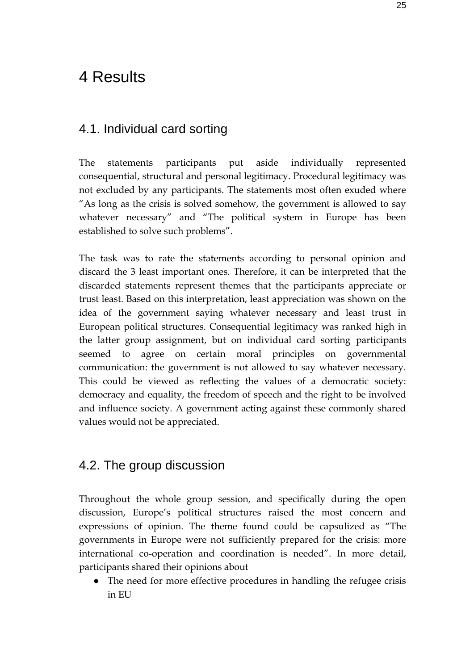# <span id="page-24-0"></span>4 Results

## <span id="page-24-1"></span>4.1. Individual card sorting

The statements participants put aside individually represented consequential, structural and personal legitimacy. Procedural legitimacy was not excluded by any participants. The statements most often exuded where "As long as the crisis is solved somehow, the government is allowed to say whatever necessary" and "The political system in Europe has been established to solve such problems".

The task was to rate the statements according to personal opinion and discard the 3 least important ones. Therefore, it can be interpreted that the discarded statements represent themes that the participants appreciate or trust least. Based on this interpretation, least appreciation was shown on the idea of the government saying whatever necessary and least trust in European political structures. Consequential legitimacy was ranked high in the latter group assignment, but on individual card sorting participants seemed to agree on certain moral principles on governmental communication: the government is not allowed to say whatever necessary. This could be viewed as reflecting the values of a democratic society: democracy and equality, the freedom of speech and the right to be involved and influence society. A government acting against these commonly shared values would not be appreciated.

## <span id="page-24-2"></span>4.2. The group discussion

Throughout the whole group session, and specifically during the open discussion, Europe's political structures raised the most concern and expressions of opinion. The theme found could be capsulized as "The governments in Europe were not sufficiently prepared for the crisis: more international co-operation and coordination is needed". In more detail, participants shared their opinions about

The need for more effective procedures in handling the refugee crisis in EU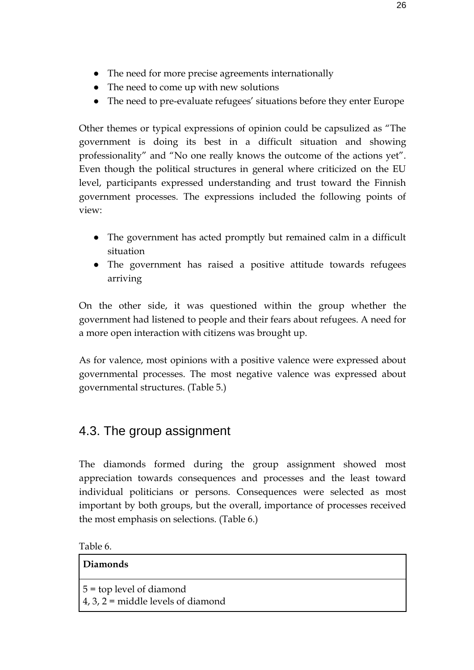- The need for more precise agreements internationally
- The need to come up with new solutions
- The need to pre-evaluate refugees' situations before they enter Europe

Other themes or typical expressions of opinion could be capsulized as "The government is doing its best in a difficult situation and showing professionality" and "No one really knows the outcome of the actions yet". Even though the political structures in general where criticized on the EU level, participants expressed understanding and trust toward the Finnish government processes. The expressions included the following points of view:

- The government has acted promptly but remained calm in a difficult situation
- The government has raised a positive attitude towards refugees arriving

On the other side, it was questioned within the group whether the government had listened to people and their fears about refugees. A need for a more open interaction with citizens was brought up.

As for valence, most opinions with a positive valence were expressed about governmental processes. The most negative valence was expressed about governmental structures. (Table 5.)

## <span id="page-25-0"></span>4.3. The group assignment

The diamonds formed during the group assignment showed most appreciation towards consequences and processes and the least toward individual politicians or persons. Consequences were selected as most important by both groups, but the overall, importance of processes received the most emphasis on selections. (Table 6.)

| Diamonds                                                                 |  |
|--------------------------------------------------------------------------|--|
| $5 =$ top level of diamond<br>$\vert$ 4, 3, 2 = middle levels of diamond |  |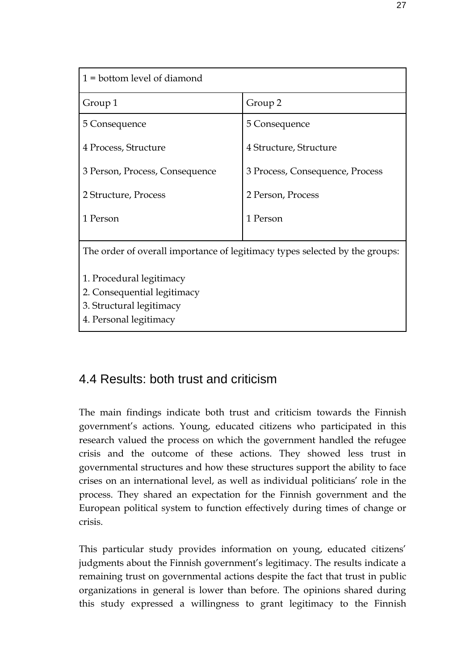| $1 =$ bottom level of diamond                                               |                                 |  |
|-----------------------------------------------------------------------------|---------------------------------|--|
| Group 1                                                                     | Group 2                         |  |
| 5 Consequence                                                               | 5 Consequence                   |  |
| 4 Process, Structure                                                        | 4 Structure, Structure          |  |
| 3 Person, Process, Consequence                                              | 3 Process, Consequence, Process |  |
| 2 Structure, Process                                                        | 2 Person, Process               |  |
| 1 Person                                                                    | 1 Person                        |  |
|                                                                             |                                 |  |
| The order of overall importance of legitimacy types selected by the groups: |                                 |  |
| 1. Procedural legitimacy                                                    |                                 |  |
| 2. Consequential legitimacy                                                 |                                 |  |
| 3. Structural legitimacy                                                    |                                 |  |
| 4. Personal legitimacy                                                      |                                 |  |

## <span id="page-26-0"></span>4.4 Results: both trust and criticism

The main findings indicate both trust and criticism towards the Finnish government's actions. Young, educated citizens who participated in this research valued the process on which the government handled the refugee crisis and the outcome of these actions. They showed less trust in governmental structures and how these structures support the ability to face crises on an international level, as well as individual politicians' role in the process. They shared an expectation for the Finnish government and the European political system to function effectively during times of change or crisis.

This particular study provides information on young, educated citizens' judgments about the Finnish government's legitimacy. The results indicate a remaining trust on governmental actions despite the fact that trust in public organizations in general is lower than before. The opinions shared during this study expressed a willingness to grant legitimacy to the Finnish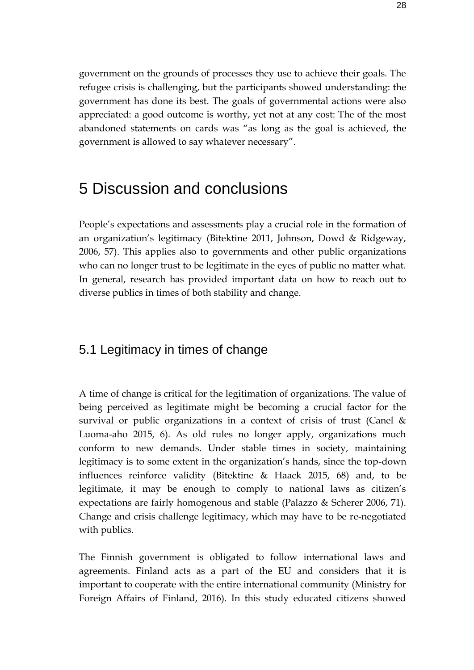government on the grounds of processes they use to achieve their goals. The refugee crisis is challenging, but the participants showed understanding: the government has done its best. The goals of governmental actions were also appreciated: a good outcome is worthy, yet not at any cost: The of the most abandoned statements on cards was "as long as the goal is achieved, the government is allowed to say whatever necessary".

## <span id="page-27-0"></span>5 Discussion and conclusions

People's expectations and assessments play a crucial role in the formation of an organization's legitimacy (Bitektine 2011, Johnson, Dowd & Ridgeway, 2006, 57). This applies also to governments and other public organizations who can no longer trust to be legitimate in the eyes of public no matter what. In general, research has provided important data on how to reach out to diverse publics in times of both stability and change.

## <span id="page-27-1"></span>5.1 Legitimacy in times of change

A time of change is critical for the legitimation of organizations. The value of being perceived as legitimate might be becoming a crucial factor for the survival or public organizations in a context of crisis of trust (Canel  $\&$ Luoma-aho 2015, 6). As old rules no longer apply, organizations much conform to new demands. Under stable times in society, maintaining legitimacy is to some extent in the organization's hands, since the top-down influences reinforce validity (Bitektine & Haack 2015, 68) and, to be legitimate, it may be enough to comply to national laws as citizen's expectations are fairly homogenous and stable (Palazzo & Scherer 2006, 71). Change and crisis challenge legitimacy, which may have to be re-negotiated with publics.

The Finnish government is obligated to follow international laws and agreements. Finland acts as a part of the EU and considers that it is important to cooperate with the entire international community (Ministry for Foreign Affairs of Finland, 2016). In this study educated citizens showed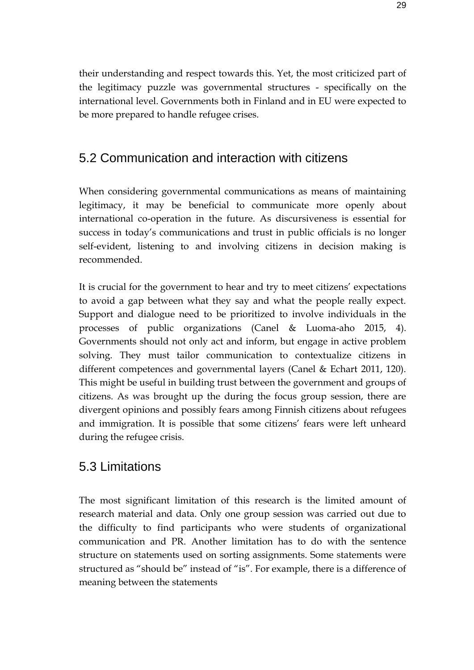their understanding and respect towards this. Yet, the most criticized part of the legitimacy puzzle was governmental structures - specifically on the international level. Governments both in Finland and in EU were expected to be more prepared to handle refugee crises.

## <span id="page-28-0"></span>5.2 Communication and interaction with citizens

When considering governmental communications as means of maintaining legitimacy, it may be beneficial to communicate more openly about international co-operation in the future. As discursiveness is essential for success in today's communications and trust in public officials is no longer self-evident, listening to and involving citizens in decision making is recommended.

It is crucial for the government to hear and try to meet citizens' expectations to avoid a gap between what they say and what the people really expect. Support and dialogue need to be prioritized to involve individuals in the processes of public organizations (Canel & Luoma-aho 2015, 4). Governments should not only act and inform, but engage in active problem solving. They must tailor communication to contextualize citizens in different competences and governmental layers (Canel & Echart 2011, 120). This might be useful in building trust between the government and groups of citizens. As was brought up the during the focus group session, there are divergent opinions and possibly fears among Finnish citizens about refugees and immigration. It is possible that some citizens' fears were left unheard during the refugee crisis.

## <span id="page-28-1"></span>5.3 Limitations

The most significant limitation of this research is the limited amount of research material and data. Only one group session was carried out due to the difficulty to find participants who were students of organizational communication and PR. Another limitation has to do with the sentence structure on statements used on sorting assignments. Some statements were structured as "should be" instead of "is". For example, there is a difference of meaning between the statements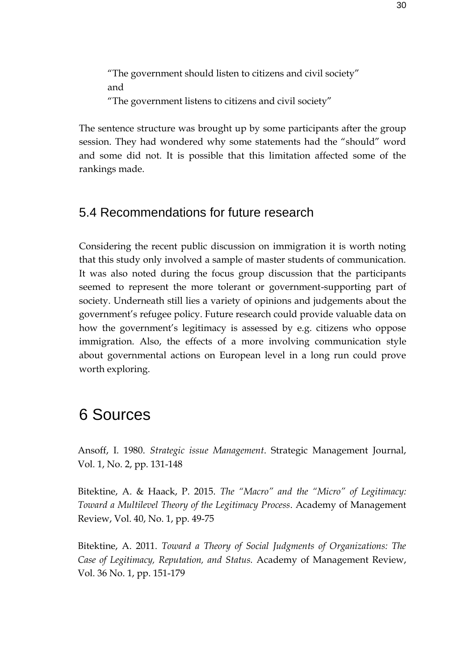"The government should listen to citizens and civil society" and "The government listens to citizens and civil society"

The sentence structure was brought up by some participants after the group session. They had wondered why some statements had the "should" word and some did not. It is possible that this limitation affected some of the rankings made.

## <span id="page-29-0"></span>5.4 Recommendations for future research

Considering the recent public discussion on immigration it is worth noting that this study only involved a sample of master students of communication. It was also noted during the focus group discussion that the participants seemed to represent the more tolerant or government-supporting part of society. Underneath still lies a variety of opinions and judgements about the government's refugee policy. Future research could provide valuable data on how the government's legitimacy is assessed by e.g. citizens who oppose immigration. Also, the effects of a more involving communication style about governmental actions on European level in a long run could prove worth exploring.

# <span id="page-29-1"></span>6 Sources

Ansoff, I. 1980. *Strategic issue Management*. Strategic Management Journal, Vol. 1, No. 2, pp. 131-148

Bitektine, A. & Haack, P. 2015. *The "Macro" and the "Micro" of Legitimacy: Toward a Multilevel Theory of the Legitimacy Process*. Academy of Management Review, Vol. 40, No. 1, pp. 49-75

Bitektine, A. 2011. *Toward a Theory of Social Judgments of Organizations: The Case of Legitimacy, Reputation, and Status.* Academy of Management Review, Vol. 36 No. 1, pp. 151-179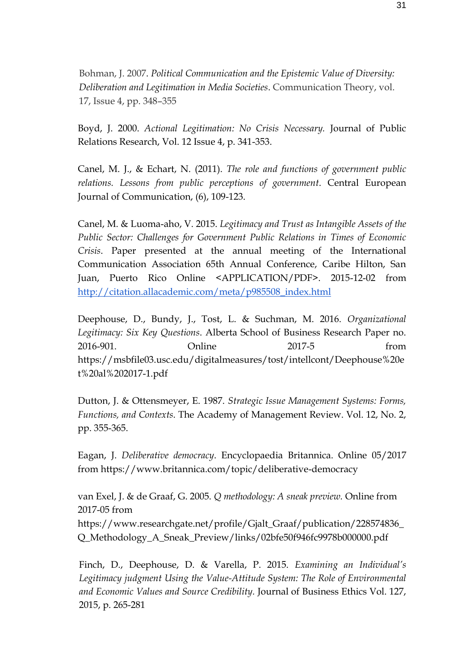Bohman, J. 2007. *Political Communication and the Epistemic Value of Diversity: Deliberation and Legitimation in Media Societies*. Communication Theory, vol. 17, Issue 4, pp. 348–355

Boyd, J. 2000. *Actional Legitimation: No Crisis Necessary.* Journal of Public Relations Research, Vol. 12 Issue 4, p. 341-353.

Canel, M. J., & Echart, N. (2011). *The role and functions of government public relations. Lessons from public perceptions of government*. Central European Journal of Communication, (6), 109-123.

Canel, M. & Luoma-aho, V. 2015. *Legitimacy and Trust as Intangible Assets of the Public Sector: Challenges for Government Public Relations in Times of Economic Crisis*. Paper presented at the annual meeting of the International Communication Association 65th Annual Conference, Caribe Hilton, San Juan, Puerto Rico Online <APPLICATION/PDF>. 2015-12-02 from [http://citation.allacademic.com/meta/p985508\\_index.html](http://citation.allacademic.com/meta/p985508_index.html)

Deephouse, D., Bundy, J., Tost, L. & Suchman, M. 2016. *Organizational Legitimacy: Six Key Questions*. Alberta School of Business Research Paper no. 2016-901. Online 2017-5 from https://msbfile03.usc.edu/digitalmeasures/tost/intellcont/Deephouse%20e t%20al%202017-1.pdf

Dutton, J. & Ottensmeyer, E. 1987. *Strategic Issue Management Systems: Forms, Functions, and Contexts*. The Academy of Management Review. Vol. 12, No. 2, pp. 355-365.

Eagan, J. *Deliberative democracy*. Encyclopaedia Britannica. Online 05/2017 from https://www.britannica.com/topic/deliberative-democracy

van Exel, J. & de Graaf, G. 2005. *Q methodology: A sneak preview.* Online from 2017-05 from https://www.researchgate.net/profile/Gjalt\_Graaf/publication/228574836\_ Q\_Methodology\_A\_Sneak\_Preview/links/02bfe50f946fc9978b000000.pdf

Finch, D., Deephouse, D. & Varella, P. 2015. *Examining an Individual's Legitimacy judgment Using the Value-Attitude System: The Role of Environmental and Economic Values and Source Credibility.* Journal of Business Ethics Vol. 127, 2015, p. 265-281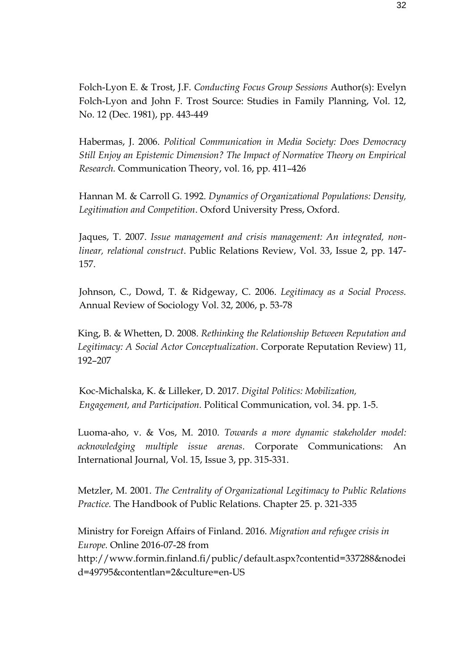Folch-Lyon E. & Trost, J.F. *Conducting Focus Group Sessions* Author(s): Evelyn Folch-Lyon and John F. Trost Source: Studies in Family Planning, Vol. 12, No. 12 (Dec. 1981), pp. 443-449

Habermas, J. 2006. *Political Communication in Media Society: Does Democracy Still Enjoy an Epistemic Dimension? The Impact of Normative Theory on Empirical Research.* Communication Theory, vol. 16, pp. 411–426

Hannan M. & Carroll G. 1992. *Dynamics of Organizational Populations: Density, Legitimation and Competition*. Oxford University Press, Oxford.

Jaques, T. 2007. *Issue management and crisis management: An integrated, nonlinear, relational construct*. Public Relations Review, Vol. 33, Issue 2, pp. 147- 157.

Johnson, C., Dowd, T. & Ridgeway, C. 2006. *Legitimacy as a Social Process.* Annual Review of Sociology Vol. 32, 2006, p. 53-78

King, B. & Whetten, D. 2008. *Rethinking the Relationship Between Reputation and Legitimacy: A Social Actor Conceptualization*. Corporate Reputation Review) 11, 192–207

Koc-Michalska, K. & Lilleker, D. 2017. *Digital Politics: Mobilization, Engagement, and Participation.* Political Communication, vol. 34. pp. 1-5.

Luoma-aho, v. & Vos, M. 2010. *Towards a more dynamic stakeholder model: acknowledging multiple issue arenas*. Corporate Communications: An International Journal, Vol. 15, Issue 3, pp. 315-331.

Metzler, M. 2001. *The Centrality of Organizational Legitimacy to Public Relations Practice.* The Handbook of Public Relations. Chapter 25. p. 321-335

Ministry for Foreign Affairs of Finland. 2016. *Migration and refugee crisis in Europe.* Online 2016-07-28 from http://www.formin.finland.fi/public/default.aspx?contentid=337288&nodei d=49795&contentlan=2&culture=en-US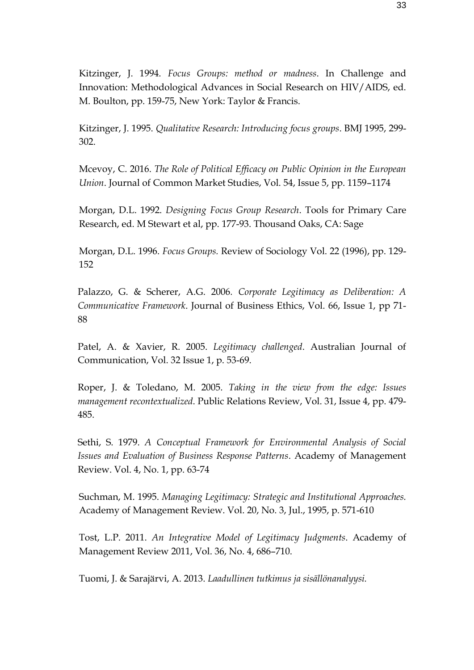Kitzinger, J. 1994. *Focus Groups: method or madness*. In Challenge and Innovation: Methodological Advances in Social Research on HIV/AIDS, ed. M. Boulton, pp. 159-75, New York: Taylor & Francis.

Kitzinger, J. 1995. *Qualitative Research: Introducing focus groups*. BMJ 1995, 299- 302.

Mcevoy, C. 2016. *The Role of Political Efficacy on Public Opinion in the European Union*. Journal of Common Market Studies, Vol. 54, Issue 5, pp. 1159–1174

Morgan, D.L. 1992. *Designing Focus Group Research*. Tools for Primary Care Research, ed. M Stewart et al, pp. 177-93. Thousand Oaks, CA: Sage

Morgan, D.L. 1996. *Focus Groups.* Review of Sociology Vol. 22 (1996), pp. 129- 152

Palazzo, G. & Scherer, A.G. 2006*. Corporate Legitimacy as Deliberation: A Communicative Framework*. Journal of Business Ethics, Vol. 66, Issue 1, pp 71- 88

Patel, A. & Xavier, R. 2005. *Legitimacy challenged*. Australian Journal of Communication, Vol. 32 Issue 1, p. 53-69.

Roper, J. & Toledano, M. 2005. *Taking in the view from the edge: Issues management recontextualized*. Public Relations Review, Vol. 31, Issue 4, pp. 479- 485.

Sethi, S. 1979. *A Conceptual Framework for Environmental Analysis of Social Issues and Evaluation of Business Response Patterns*. Academy of Management Review. Vol. 4, No. 1, pp. 63-74

Suchman, M. 1995. *Managing Legitimacy: Strategic and Institutional Approaches.* Academy of Management Review. Vol. 20, No. 3, Jul., 1995, p. 571-610

Tost, L.P. 2011. *An Integrative Model of Legitimacy Judgments*. Academy of Management Review 2011, Vol. 36, No. 4, 686–710.

Tuomi, J. & Sarajärvi, A. 2013. *Laadullinen tutkimus ja sisällönanalyysi.*